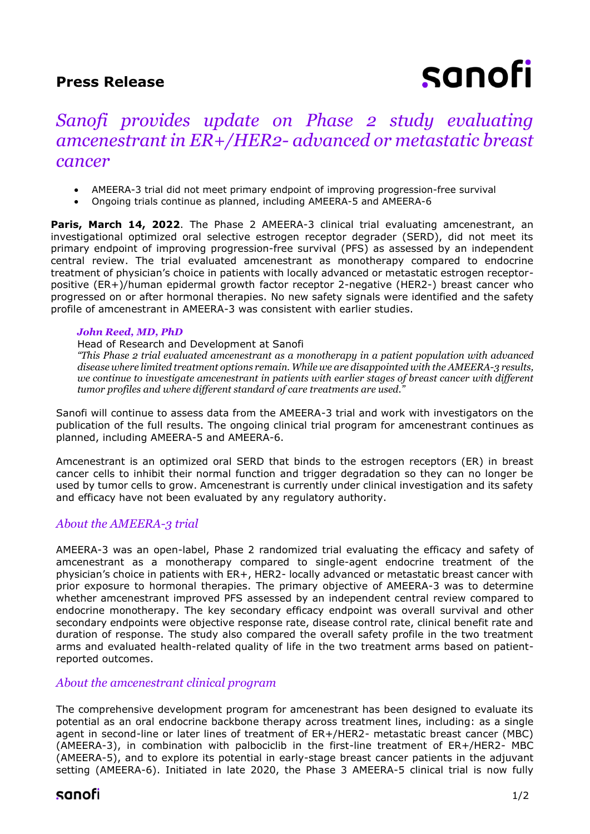## **Press Release**

# sanofi

## *Sanofi provides update on Phase 2 study evaluating amcenestrant in ER+/HER2- advanced or metastatic breast cancer*

- AMEERA-3 trial did not meet primary endpoint of improving progression-free survival
- Ongoing trials continue as planned, including AMEERA-5 and AMEERA-6

**Paris, March 14, 2022**. The Phase 2 AMEERA-3 clinical trial evaluating amcenestrant, an investigational optimized oral selective estrogen receptor degrader (SERD), did not meet its primary endpoint of improving progression-free survival (PFS) as assessed by an independent central review. The trial evaluated amcenestrant as monotherapy compared to endocrine treatment of physician's choice in patients with locally advanced or metastatic estrogen receptorpositive (ER+)/human epidermal growth factor receptor 2-negative (HER2-) breast cancer who progressed on or after hormonal therapies. No new safety signals were identified and the safety profile of amcenestrant in AMEERA-3 was consistent with earlier studies.

### *John Reed, MD, PhD*

Head of Research and Development at Sanofi

*"This Phase 2 trial evaluated amcenestrant as a monotherapy in a patient population with advanced disease where limited treatment options remain. While we are disappointed with the AMEERA-3 results, we continue to investigate amcenestrant in patients with earlier stages of breast cancer with different tumor profiles and where different standard of care treatments are used."*

Sanofi will continue to assess data from the AMEERA-3 trial and work with investigators on the publication of the full results. The ongoing clinical trial program for amcenestrant continues as planned, including AMEERA-5 and AMEERA-6.

Amcenestrant is an optimized oral SERD that binds to the estrogen receptors (ER) in breast cancer cells to inhibit their normal function and trigger degradation so they can no longer be used by tumor cells to grow. Amcenestrant is currently under clinical investigation and its safety and efficacy have not been evaluated by any regulatory authority.

## *About the AMEERA-3 trial*

AMEERA-3 was an open-label, Phase 2 randomized trial evaluating the efficacy and safety of amcenestrant as a monotherapy compared to single-agent endocrine treatment of the physician's choice in patients with ER+, HER2- locally advanced or metastatic breast cancer with prior exposure to hormonal therapies. The primary objective of AMEERA-3 was to determine whether amcenestrant improved PFS assessed by an independent central review compared to endocrine monotherapy. The key secondary efficacy endpoint was overall survival and other secondary endpoints were objective response rate, disease control rate, clinical benefit rate and duration of response. The study also compared the overall safety profile in the two treatment arms and evaluated health-related quality of life in the two treatment arms based on patientreported outcomes.

## *About the amcenestrant clinical program*

The comprehensive development program for amcenestrant has been designed to evaluate its potential as an oral endocrine backbone therapy across treatment lines, including: as a single agent in second-line or later lines of treatment of ER+/HER2- metastatic breast cancer (MBC) (AMEERA-3), in combination with palbociclib in the first-line treatment of ER+/HER2- MBC (AMEERA-5), and to explore its potential in early-stage breast cancer patients in the adjuvant setting (AMEERA-6). Initiated in late 2020, the Phase 3 AMEERA-5 clinical trial is now fully